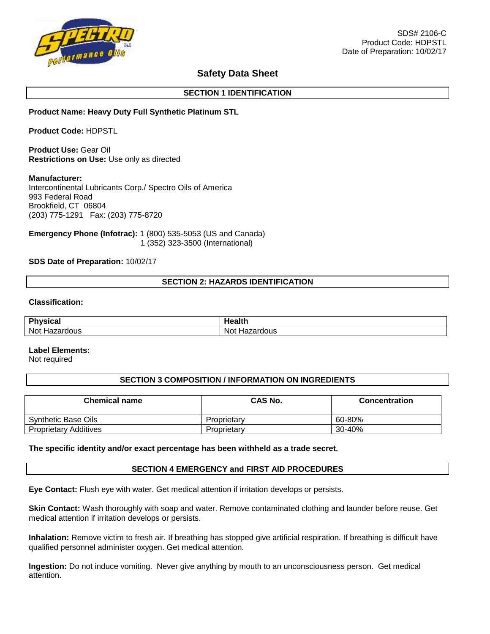

# **Safety Data Sheet**

# **SECTION 1 IDENTIFICATION**

# **Product Name: Heavy Duty Full Synthetic Platinum STL**

**Product Code:** HDPSTL

**Product Use:** Gear Oil **Restrictions on Use:** Use only as directed

#### **Manufacturer:**

Intercontinental Lubricants Corp./ Spectro Oils of America 993 Federal Road Brookfield, CT 06804 (203) 775-1291 Fax: (203) 775-8720

**Emergency Phone (Infotrac):** 1 (800) 535-5053 (US and Canada) 1 (352) 323-3500 (International)

# **SDS Date of Preparation:** 10/02/17

# **SECTION 2: HAZARDS IDENTIFICATION**

#### **Classification:**

| <b>Dhysical</b><br>ıua  | lealth.                     |
|-------------------------|-----------------------------|
| Not Hazar<br>rdous<br>. | Not<br>เzardous<br>Ha.<br>. |

#### **Label Elements:**

Not required

### **SECTION 3 COMPOSITION / INFORMATION ON INGREDIENTS**

| <b>Chemical name</b>         | CAS No.     | <b>Concentration</b> |
|------------------------------|-------------|----------------------|
| Synthetic Base Oils          | Proprietary | 60-80%               |
| <b>Proprietary Additives</b> | Proprietary | 30-40%               |

#### **The specific identity and/or exact percentage has been withheld as a trade secret.**

### **SECTION 4 EMERGENCY and FIRST AID PROCEDURES**

**Eye Contact:** Flush eye with water. Get medical attention if irritation develops or persists.

**Skin Contact:** Wash thoroughly with soap and water. Remove contaminated clothing and launder before reuse. Get medical attention if irritation develops or persists.

**Inhalation:** Remove victim to fresh air. If breathing has stopped give artificial respiration. If breathing is difficult have qualified personnel administer oxygen. Get medical attention.

**Ingestion:** Do not induce vomiting. Never give anything by mouth to an unconsciousness person. Get medical attention.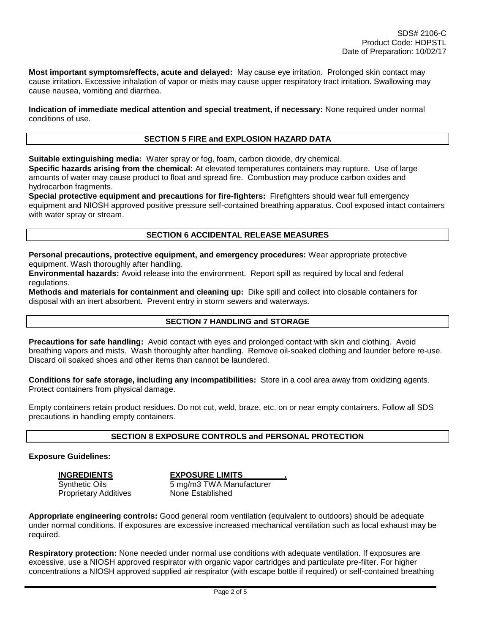**Most important symptoms/effects, acute and delayed:** May cause eye irritation. Prolonged skin contact may cause irritation. Excessive inhalation of vapor or mists may cause upper respiratory tract irritation. Swallowing may cause nausea, vomiting and diarrhea.

**Indication of immediate medical attention and special treatment, if necessary:** None required under normal conditions of use.

### **SECTION 5 FIRE and EXPLOSION HAZARD DATA**

**Suitable extinguishing media:** Water spray or fog, foam, carbon dioxide, dry chemical.

**Specific hazards arising from the chemical:** At elevated temperatures containers may rupture. Use of large amounts of water may cause product to float and spread fire. Combustion may produce carbon oxides and hydrocarbon fragments.

**Special protective equipment and precautions for fire-fighters:** Firefighters should wear full emergency equipment and NIOSH approved positive pressure self-contained breathing apparatus. Cool exposed intact containers with water spray or stream.

#### **SECTION 6 ACCIDENTAL RELEASE MEASURES**

**Personal precautions, protective equipment, and emergency procedures:** Wear appropriate protective equipment. Wash thoroughly after handling.

**Environmental hazards:** Avoid release into the environment. Report spill as required by local and federal regulations.

**Methods and materials for containment and cleaning up:** Dike spill and collect into closable containers for disposal with an inert absorbent. Prevent entry in storm sewers and waterways.

### **SECTION 7 HANDLING and STORAGE**

**Precautions for safe handling:** Avoid contact with eyes and prolonged contact with skin and clothing. Avoid breathing vapors and mists. Wash thoroughly after handling. Remove oil-soaked clothing and launder before re-use. Discard oil soaked shoes and other items than cannot be laundered.

**Conditions for safe storage, including any incompatibilities:** Store in a cool area away from oxidizing agents. Protect containers from physical damage.

Empty containers retain product residues. Do not cut, weld, braze, etc. on or near empty containers. Follow all SDS precautions in handling empty containers.

### **SECTION 8 EXPOSURE CONTROLS and PERSONAL PROTECTION**

#### **Exposure Guidelines:**

**INGREDIENTS EXPOSURE LIMITS .**

Synthetic Oils 6 mg/m3 TWA Manufacturer Proprietary Additives None Established

**Appropriate engineering controls:** Good general room ventilation (equivalent to outdoors) should be adequate under normal conditions. If exposures are excessive increased mechanical ventilation such as local exhaust may be required.

**Respiratory protection:** None needed under normal use conditions with adequate ventilation. If exposures are excessive, use a NIOSH approved respirator with organic vapor cartridges and particulate pre-filter. For higher concentrations a NIOSH approved supplied air respirator (with escape bottle if required) or self-contained breathing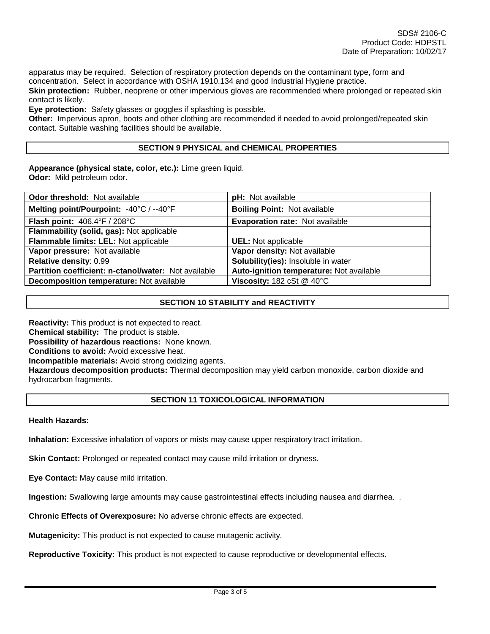apparatus may be required. Selection of respiratory protection depends on the contaminant type, form and concentration. Select in accordance with OSHA 1910.134 and good Industrial Hygiene practice.

**Skin protection:** Rubber, neoprene or other impervious gloves are recommended where prolonged or repeated skin contact is likely.

**Eye protection:** Safety glasses or goggles if splashing is possible.

**Other:** Impervious apron, boots and other clothing are recommended if needed to avoid prolonged/repeated skin contact. Suitable washing facilities should be available.

# **SECTION 9 PHYSICAL and CHEMICAL PROPERTIES**

**Appearance (physical state, color, etc.):** Lime green liquid. **Odor:** Mild petroleum odor.

| <b>Odor threshold: Not available</b>                 | pH: Not available                                     |  |  |
|------------------------------------------------------|-------------------------------------------------------|--|--|
| Melting point/Pourpoint: -40°C / --40°F              | <b>Boiling Point: Not available</b>                   |  |  |
| Flash point: 406.4°F / 208°C                         | Evaporation rate: Not available                       |  |  |
| Flammability (solid, gas): Not applicable            |                                                       |  |  |
| Flammable limits: LEL: Not applicable                | <b>UEL:</b> Not applicable                            |  |  |
| Vapor pressure: Not available                        | Vapor density: Not available                          |  |  |
| Relative density: 0.99                               | Solubility(ies): Insoluble in water                   |  |  |
| Partition coefficient: n-ctanol/water: Not available | Auto-ignition temperature: Not available              |  |  |
| Decomposition temperature: Not available             | Viscosity: $182 \text{ cSt} \ @ \ 40^{\circ}\text{C}$ |  |  |

# **SECTION 10 STABILITY and REACTIVITY**

**Reactivity:** This product is not expected to react. **Chemical stability:** The product is stable. **Possibility of hazardous reactions:** None known. **Conditions to avoid:** Avoid excessive heat. **Incompatible materials:** Avoid strong oxidizing agents. **Hazardous decomposition products:** Thermal decomposition may yield carbon monoxide, carbon dioxide and hydrocarbon fragments.

### **SECTION 11 TOXICOLOGICAL INFORMATION**

#### **Health Hazards:**

**Inhalation:** Excessive inhalation of vapors or mists may cause upper respiratory tract irritation.

**Skin Contact:** Prolonged or repeated contact may cause mild irritation or dryness.

**Eye Contact:** May cause mild irritation.

**Ingestion:** Swallowing large amounts may cause gastrointestinal effects including nausea and diarrhea. .

**Chronic Effects of Overexposure:** No adverse chronic effects are expected.

**Mutagenicity:** This product is not expected to cause mutagenic activity.

**Reproductive Toxicity:** This product is not expected to cause reproductive or developmental effects.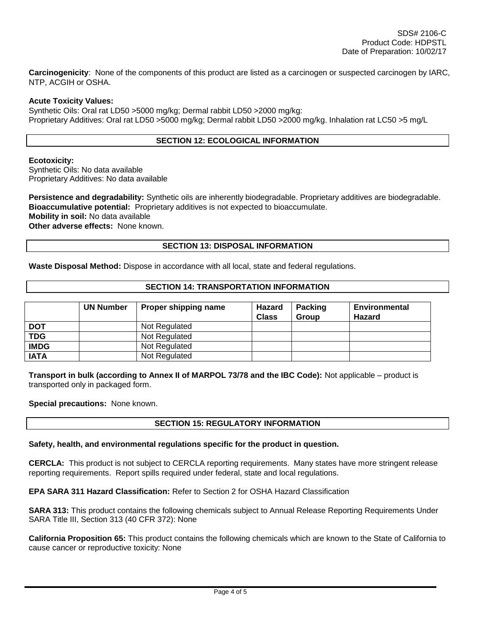**Carcinogenicity**: None of the components of this product are listed as a carcinogen or suspected carcinogen by IARC, NTP, ACGIH or OSHA.

### **Acute Toxicity Values:**

Synthetic Oils: Oral rat LD50 >5000 mg/kg; Dermal rabbit LD50 >2000 mg/kg: Proprietary Additives: Oral rat LD50 >5000 mg/kg; Dermal rabbit LD50 >2000 mg/kg. Inhalation rat LC50 >5 mg/L

# **SECTION 12: ECOLOGICAL INFORMATION**

### **Ecotoxicity:**

Synthetic Oils: No data available Proprietary Additives: No data available

**Persistence and degradability:** Synthetic oils are inherently biodegradable. Proprietary additives are biodegradable. **Bioaccumulative potential:** Proprietary additives is not expected to bioaccumulate. **Mobility in soil:** No data available **Other adverse effects:** None known.

# **SECTION 13: DISPOSAL INFORMATION**

**Waste Disposal Method:** Dispose in accordance with all local, state and federal regulations.

### **SECTION 14: TRANSPORTATION INFORMATION**

|             | <b>UN Number</b> | Proper shipping name | Hazard<br><b>Class</b> | <b>Packing</b><br>Group | <b>Environmental</b><br><b>Hazard</b> |
|-------------|------------------|----------------------|------------------------|-------------------------|---------------------------------------|
| <b>DOT</b>  |                  | Not Regulated        |                        |                         |                                       |
| <b>TDG</b>  |                  | Not Regulated        |                        |                         |                                       |
| <b>IMDG</b> |                  | Not Regulated        |                        |                         |                                       |
| <b>IATA</b> |                  | Not Regulated        |                        |                         |                                       |

**Transport in bulk (according to Annex II of MARPOL 73/78 and the IBC Code):** Not applicable – product is transported only in packaged form.

**Special precautions:** None known.

# **SECTION 15: REGULATORY INFORMATION**

### **Safety, health, and environmental regulations specific for the product in question.**

**CERCLA:** This product is not subject to CERCLA reporting requirements. Many states have more stringent release reporting requirements. Report spills required under federal, state and local regulations.

**EPA SARA 311 Hazard Classification:** Refer to Section 2 for OSHA Hazard Classification

**SARA 313:** This product contains the following chemicals subject to Annual Release Reporting Requirements Under SARA Title III, Section 313 (40 CFR 372): None

**California Proposition 65:** This product contains the following chemicals which are known to the State of California to cause cancer or reproductive toxicity: None